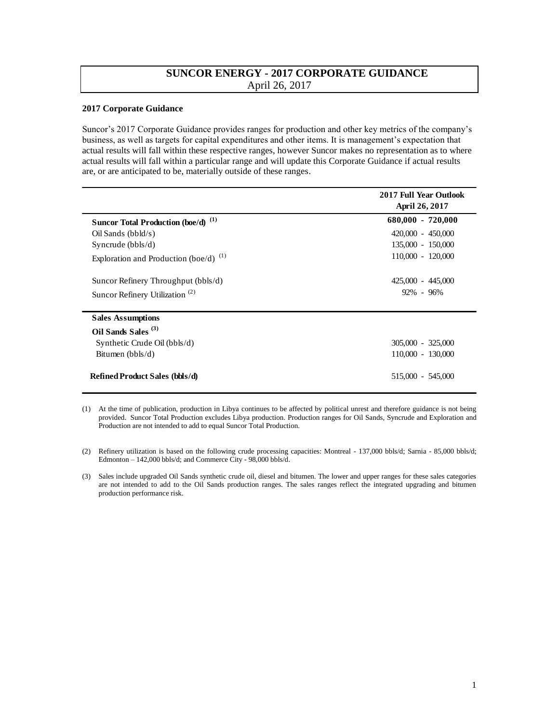## **SUNCOR ENERGY - 2017 CORPORATE GUIDANCE**  April 26, 2017

## **2017 Corporate Guidance**

Suncor's 2017 Corporate Guidance provides ranges for production and other key metrics of the company's business, as well as targets for capital expenditures and other items. It is management's expectation that actual results will fall within these respective ranges, however Suncor makes no representation as to where actual results will fall within a particular range and will update this Corporate Guidance if actual results are, or are anticipated to be, materially outside of these ranges.

|                                                | <b>2017 Full Year Outlook</b><br>April 26, 2017 |
|------------------------------------------------|-------------------------------------------------|
| Suncor Total Production (boe/d) <sup>(1)</sup> | $680,000 - 720,000$                             |
| $Oil$ Sands (bbld/s)                           | $420,000 - 450,000$                             |
| Syncrude $(bbls/d)$                            | 135,000 - 150,000                               |
| Exploration and Production (boe/d) $^{(1)}$    | $110,000 - 120,000$                             |
| Suncor Refinery Throughput (bbls/d)            | 425,000 - 445,000                               |
| Suncor Refinery Utilization <sup>(2)</sup>     | $92\% - 96\%$                                   |
| <b>Sales Assumptions</b>                       |                                                 |
| Oil Sands Sales <sup>(3)</sup>                 |                                                 |
| Synthetic Crude Oil (bbls/d)                   | 305,000 - 325,000                               |
| Bitumen $(bbls/d)$                             | 110,000 - 130,000                               |
| <b>Refined Product Sales (bbls/d)</b>          | 515,000 - 545,000                               |

<sup>(1)</sup> At the time of publication, production in Libya continues to be affected by political unrest and therefore guidance is not being provided. Suncor Total Production excludes Libya production. Production ranges for Oil Sands, Syncrude and Exploration and Production are not intended to add to equal Suncor Total Production.

<sup>(2)</sup> Refinery utilization is based on the following crude processing capacities: Montreal - 137,000 bbls/d; Sarnia - 85,000 bbls/d; Edmonton – 142,000 bbls/d; and Commerce City - 98,000 bbls/d.

<sup>(3)</sup> Sales include upgraded Oil Sands synthetic crude oil, diesel and bitumen. The lower and upper ranges for these sales categories are not intended to add to the Oil Sands production ranges. The sales ranges reflect the integrated upgrading and bitumen production performance risk.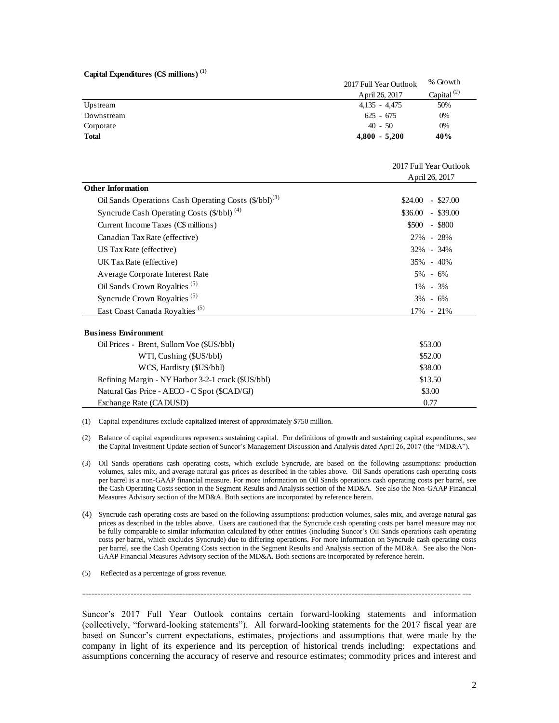|  | Capital Expenditures (C\$ millions) <sup>(1)</sup> |  |
|--|----------------------------------------------------|--|
|--|----------------------------------------------------|--|

| <b>Total</b> | $4,800 - 5,200$        | 40%              |
|--------------|------------------------|------------------|
| Corporate    | $40 - 50$              | $0\%$            |
| Downstream   | $625 - 675$            | 0%               |
| Upstream     | $4.135 - 4.475$        | 50%              |
|              | April 26, 2017         | Capital $^{(2)}$ |
|              | 2017 Full Year Outlook | % Growth         |

|                                                                   | 2017 Full Year Outlook |  |
|-------------------------------------------------------------------|------------------------|--|
|                                                                   | April 26, 2017         |  |
| <b>Other Information</b>                                          |                        |  |
| Oil Sands Operations Cash Operating Costs (\$/bbl) <sup>(3)</sup> | \$24.00<br>$-$ \$27.00 |  |
| Syncrude Cash Operating Costs (\$/bbl) <sup>(4)</sup>             | $$36.00$ - \$39.00     |  |
| Current Income Taxes (C\$ millions)                               | $$500 - $800$          |  |
| Canadian Tax Rate (effective)                                     | 27% - 28%              |  |
| US Tax Rate (effective)                                           | 32% - 34%              |  |
| UK Tax Rate (effective)                                           | 35% - 40%              |  |
| Average Corporate Interest Rate                                   | $5\% - 6\%$            |  |
| Oil Sands Crown Royalties <sup>(5)</sup>                          | $1\% - 3\%$            |  |
| Syncrude Crown Royalties <sup>(5)</sup>                           | $3\% - 6\%$            |  |
| East Coast Canada Royalties <sup>(5)</sup>                        | 17% - 21%              |  |
| <b>Business Environment</b>                                       |                        |  |
| Oil Prices - Brent, Sullom Voe (\$US/bbl)                         | \$53.00                |  |
| WTI, Cushing (\$US/bbl)                                           | \$52.00                |  |
| WCS, Hardisty (\$US/bbl)                                          | \$38.00                |  |
| Refining Margin - NY Harbor 3-2-1 crack (\$US/bbl)                | \$13.50                |  |
| Natural Gas Price - AECO - C Spot (\$CAD/GJ)                      | \$3.00                 |  |

(1) Capital expenditures exclude capitalized interest of approximately \$750 million.

- (2) Balance of capital expenditures represents sustaining capital. For definitions of growth and sustaining capital expenditures, see the Capital Investment Update section of Suncor's Management Discussion and Analysis dated April 26, 2017 (the "MD&A").
- (3) Oil Sands operations cash operating costs, which exclude Syncrude, are based on the following assumptions: production volumes, sales mix, and average natural gas prices as described in the tables above. Oil Sands operations cash operating costs per barrel is a non-GAAP financial measure. For more information on Oil Sands operations cash operating costs per barrel, see the Cash Operating Costs section in the Segment Results and Analysis section of the MD&A. See also the Non-GAAP Financial Measures Advisory section of the MD&A. Both sections are incorporated by reference herein.
- (4) Syncrude cash operating costs are based on the following assumptions: production volumes, sales mix, and average natural gas prices as described in the tables above. Users are cautioned that the Syncrude cash operating costs per barrel measure may not be fully comparable to similar information calculated by other entities (including Suncor's Oil Sands operations cash operating costs per barrel, which excludes Syncrude) due to differing operations. For more information on Syncrude cash operating costs per barrel, see the Cash Operating Costs section in the Segment Results and Analysis section of the MD&A. See also the Non-GAAP Financial Measures Advisory section of the MD&A. Both sections are incorporated by reference herein.
- (5) Reflected as a percentage of gross revenue.

Exchange Rate (CADUSD)

Suncor's 2017 Full Year Outlook contains certain forward-looking statements and information (collectively, "forward-looking statements"). All forward-looking statements for the 2017 fiscal year are based on Suncor's current expectations, estimates, projections and assumptions that were made by the company in light of its experience and its perception of historical trends including: expectations and assumptions concerning the accuracy of reserve and resource estimates; commodity prices and interest and

--------------------------------------------------------------------------------------------------------------------------------

0.77